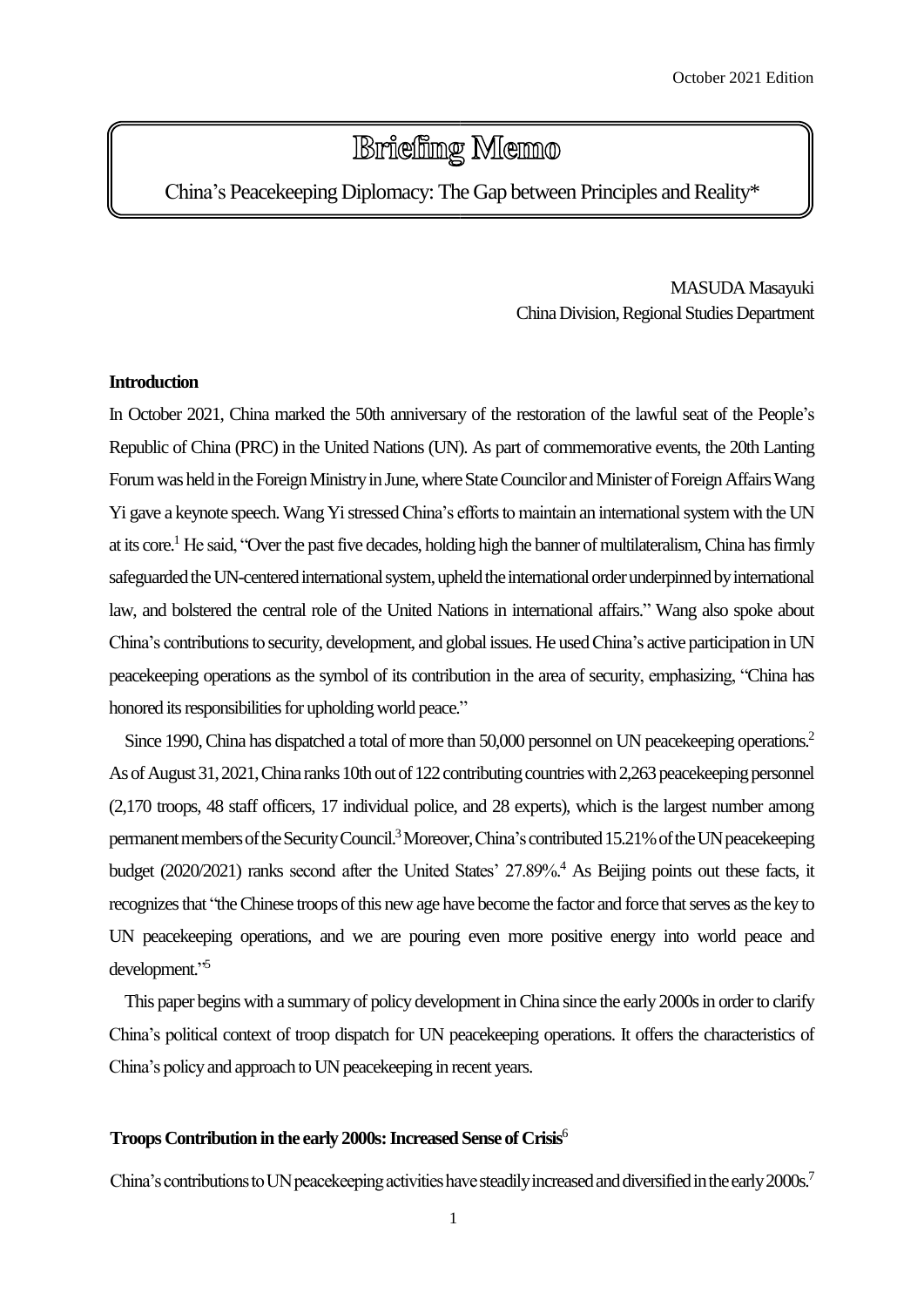# **Briefing Memo**

China's Peacekeeping Diplomacy: The Gap between Principles and Reality\*

MASUDA Masayuki China Division, Regional Studies Department

# **Introduction**

In October 2021, China marked the 50th anniversary of the restoration of the lawful seat of the People's Republic of China (PRC) in the United Nations (UN). As part of commemorative events, the 20th Lanting Forumwas held in the Foreign Ministry in June, where State Councilor and Minister of Foreign Affairs Wang Yi gave a keynote speech. Wang Yi stressed China's efforts to maintain an international system with the UN at its core.<sup>1</sup> He said, "Over the past five decades, holding high the banner of multilateralism, China has firmly safeguarded the UN-centered international system, upheld the international order underpinned by international law, and bolstered the central role of the United Nations in international affairs." Wang also spoke about China's contributions to security, development, and global issues. He used China's active participation inUN peacekeeping operations as the symbol of its contribution in the area of security, emphasizing, "China has honored its responsibilities for upholding world peace."

Since 1990, China has dispatched a total of more than 50,000 personnel on UN peacekeeping operations.<sup>2</sup> As of August 31, 2021, China ranks 10th out of 122 contributing countries with 2,263 peacekeeping personnel (2,170 troops, 48 staff officers, 17 individual police, and 28 experts), which is the largest number among permanent members of the Security Council.<sup>3</sup> Moreover, China's contributed 15.21% of the UN peacekeeping budget (2020/2021) ranks second after the United States' 27.89%. <sup>4</sup> As Beijing points out these facts, it recognizes that "the Chinese troops of this new age have become the factor and force that serves as the key to UN peacekeeping operations, and we are pouring even more positive energy into world peace and development." 5

This paper begins with a summary of policy development in China since the early 2000s in order to clarify China's political context of troop dispatch for UN peacekeeping operations. It offers the characteristics of China's policy and approach to UN peacekeeping in recent years.

# **Troops Contribution in the early 2000s: Increased Sense of Crisis<sup>6</sup>**

China's contributions to UN peacekeeping activities have steadily increased and diversified in the early 2000s.<sup>7</sup>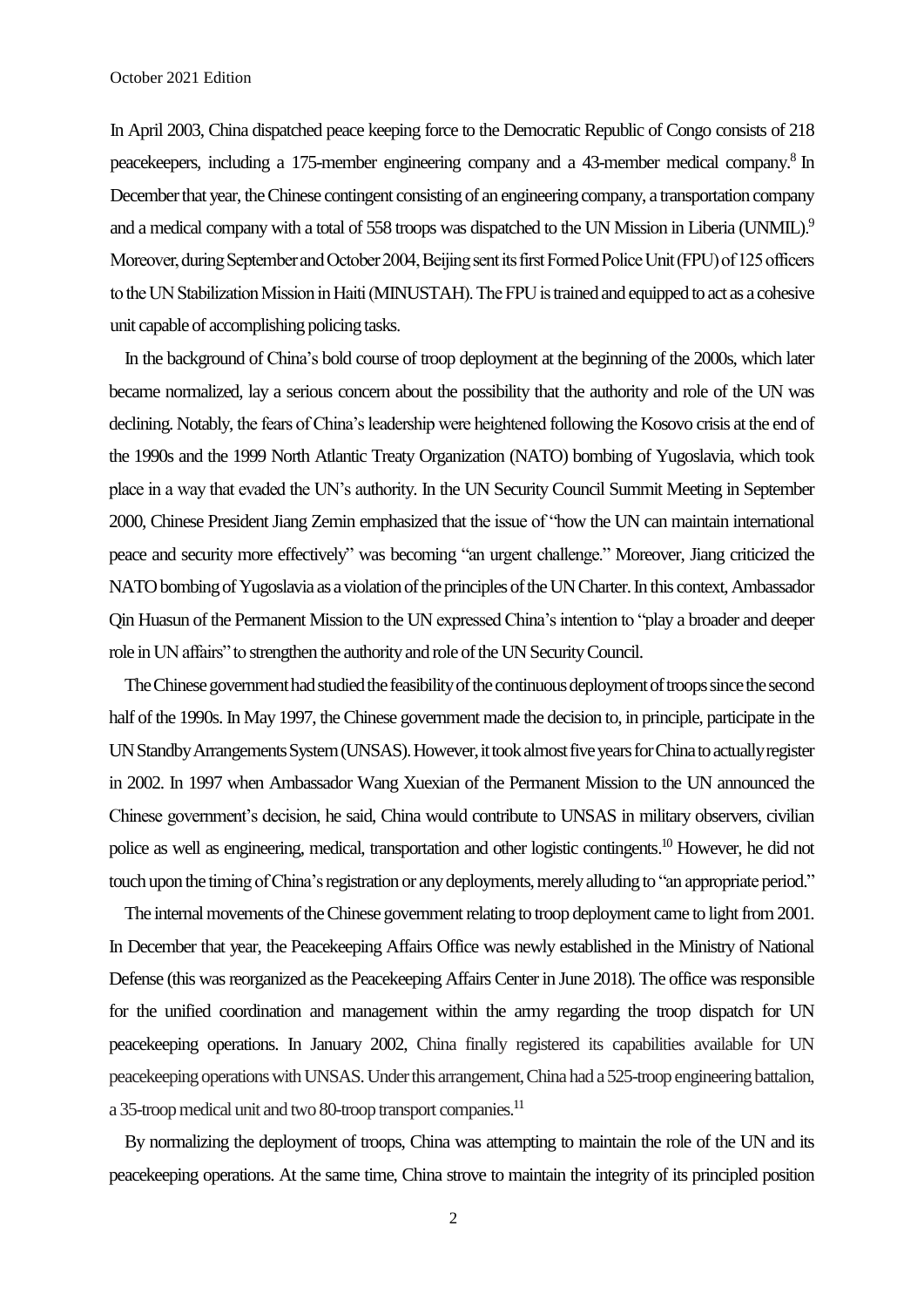In April 2003, China dispatched peace keeping force to the Democratic Republic of Congo consists of 218 peacekeepers, including a 175-member engineering company and a 43-member medical company.<sup>8</sup> In December that year, the Chinese contingent consisting of an engineering company, a transportation company and a medical company with a total of 558 troops was dispatched to the UN Mission in Liberia (UNMIL).<sup>9</sup> Moreover, during September and October 2004, Beijing sent its first Formed Police Unit (FPU) of 125 officers to the UN Stabilization Mission in Haiti (MINUSTAH). The FPU is trained and equipped to act as a cohesive unit capable of accomplishing policing tasks.

In the background of China's bold course of troop deployment at the beginning of the 2000s, which later became normalized, lay a serious concern about the possibility that the authority and role of the UN was declining. Notably, the fears of China's leadership were heightened following the Kosovo crisis at the end of the 1990s and the 1999 North Atlantic Treaty Organization (NATO) bombing of Yugoslavia, which took place in a way that evaded the UN's authority. In the UN Security Council Summit Meeting in September 2000, Chinese President Jiang Zemin emphasized that the issue of "how the UN can maintain international peace and security more effectively" was becoming "an urgent challenge." Moreover, Jiang criticized the NATO bombing of Yugoslavia as a violation of the principles of the UN Charter. In this context, Ambassador Qin Huasun of the Permanent Mission to the UN expressed China's intention to "play a broader and deeper role in UN affairs" to strengthen the authority and role of the UN Security Council.

The Chinese government had studied the feasibility of the continuous deployment of troops since the second half of the 1990s. In May 1997, the Chinese government made the decision to, in principle, participate in the UN Standby Arrangements System (UNSAS). However, it took almost five years for China to actually register in 2002. In 1997 when Ambassador Wang Xuexian of the Permanent Mission to the UN announced the Chinese government's decision, he said, China would contribute to UNSAS in military observers, civilian police as well as engineering, medical, transportation and other logistic contingents. <sup>10</sup> However, he did not touch upon the timing of China's registration or any deployments, merely alludingto "an appropriate period."

The internal movements of the Chinese government relating to troop deployment came to light from 2001. In December that year, the Peacekeeping Affairs Office was newly established in the Ministry of National Defense (this was reorganized as the Peacekeeping Affairs Center in June 2018). The office was responsible for the unified coordination and management within the army regarding the troop dispatch for UN peacekeeping operations. In January 2002, China finally registered its capabilities available for UN peacekeeping operations with UNSAS. Under this arrangement, China had a 525-troop engineering battalion, a 35-troop medical unit and two 80-troop transport companies.<sup>11</sup>

By normalizing the deployment of troops, China was attempting to maintain the role of the UN and its peacekeeping operations. At the same time, China strove to maintain the integrity of its principled position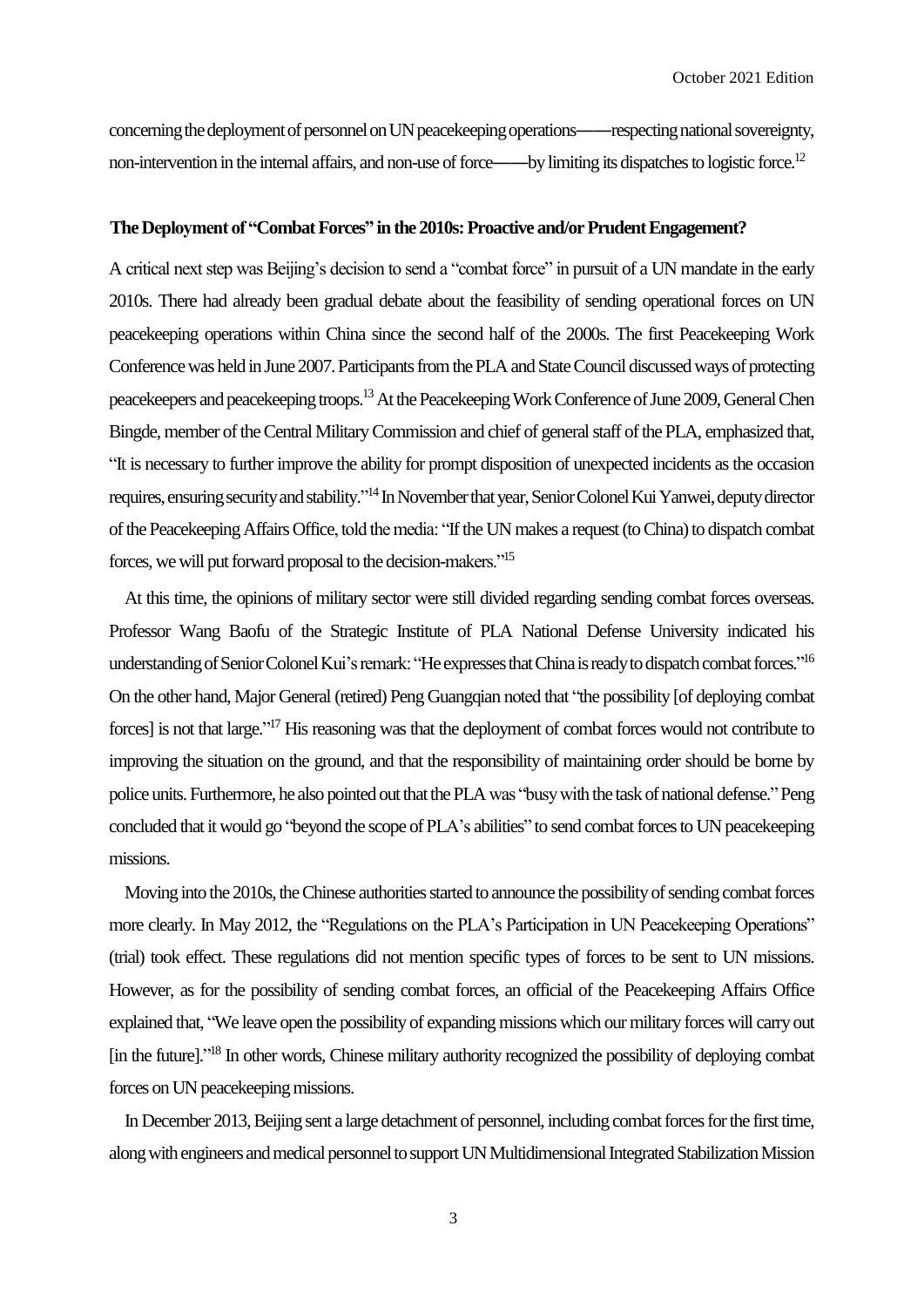concerning the deployment of personnel on UN peacekeeping operations——respecting national sovereignty, non-intervention in the internal affairs, and non-use of force——by limiting its dispatches to logistic force.<sup>12</sup>

#### The Deployment of "Combat Forces" in the 2010s: Proactive and/or Prudent Engagement?

A critical next step was Beijing's decision to send a "combat force" in pursuit of a UN mandate in the early 2010s. There had already been gradual debate about the feasibility of sending operational forces on UN peacekeeping operations within China since the second half of the 2000s. The first Peacekeeping Work Conference was held in June 2007. Participants from the PLA and State Council discussed ways of protecting peacekeepers and peacekeeping troops.<sup>13</sup> At the Peacekeeping Work Conference of June 2009, General Chen Bingde, member of theCentral Military Commission and chief of general staff of the PLA, emphasized that, "It is necessary to further improve the ability for prompt disposition of unexpected incidents as the occasion requires, ensuring security and stability."<sup>14</sup> In November that year, Senior Colonel Kui Yanwei, deputy director of the Peacekeeping Affairs Office, told the media: "If the UN makes a request (to China) to dispatch combat forces, we will put forward proposal to the decision-makers."<sup>15</sup>

At this time, the opinions of military sector were still divided regarding sending combat forces overseas. Professor Wang Baofu of the Strategic Institute of PLA National Defense University indicated his understanding of Senior Colonel Kui's remark: "He expresses that China is ready to dispatch combat forces."<sup>16</sup> On the other hand, Major General (retired) Peng Guangqian noted that "the possibility [of deploying combat forces] is not that large."<sup>17</sup> His reasoning was that the deployment of combat forces would not contribute to improving the situation on the ground, and that the responsibility of maintaining order should be borne by police units. Furthermore, he also pointed out that the PLA was "busy with the task of national defense." Peng concluded that it would go "beyond the scope of PLA's abilities" to send combat forces to UN peacekeeping missions.

Moving into the 2010s, the Chinese authorities started to announce the possibility of sending combat forces more clearly. In May 2012, the "Regulations on the PLA's Participation in UN Peacekeeping Operations" (trial) took effect. These regulations did not mention specific types of forces to be sent to UN missions. However, as for the possibility of sending combat forces, an official of the Peacekeeping Affairs Office explained that, "We leave open the possibility of expanding missions which our military forces will carry out [in the future]."<sup>18</sup> In other words, Chinese military authority recognized the possibility of deploying combat forces on UN peacekeeping missions.

In December 2013, Beijing sent a large detachment of personnel, including combat forces for the first time, along with engineers and medical personnel to support UN Multidimensional Integrated Stabilization Mission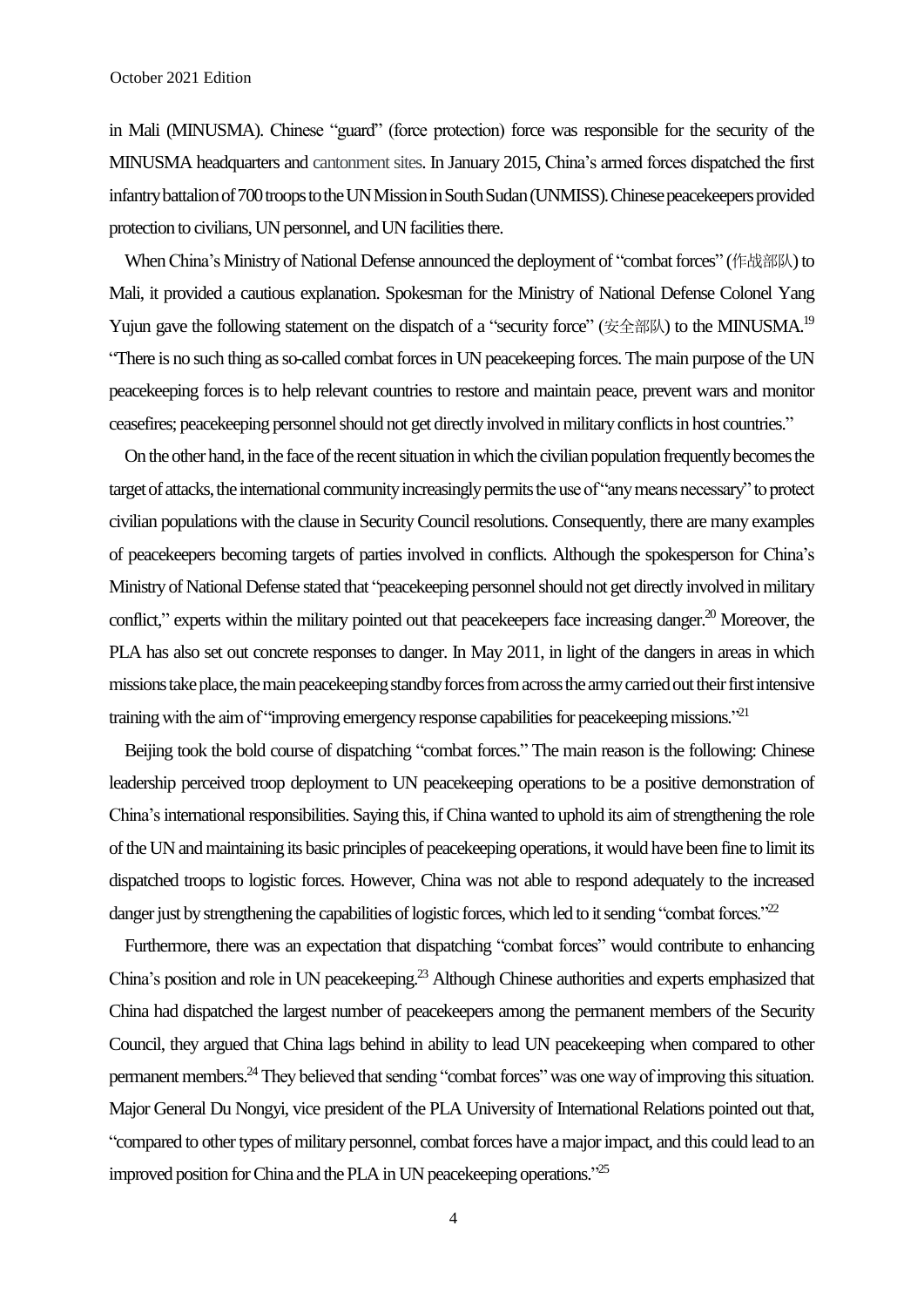in Mali (MINUSMA). Chinese "guard" (force protection) force was responsible for the security of the MINUSMA headquarters and cantonment sites. In January 2015, China's armed forces dispatched the first infantry battalion of 700 troops to the UNMission in South Sudan(UNMISS).Chinese peacekeepers provided protection to civilians, UN personnel, and UN facilities there.

When China's Ministry of National Defense announced the deployment of "combat forces" (作战部队) to Mali, it provided a cautious explanation. Spokesman for the Ministry of National Defense Colonel Yang Yujun gave the following statement on the dispatch of a "security force" (安全部队) to the MINUSMA.<sup>19</sup> "There is no such thing as so-called combat forces in UN peacekeeping forces. The main purpose of the UN peacekeeping forces is to help relevant countries to restore and maintain peace, prevent wars and monitor ceasefires; peacekeeping personnel should not get directly involved in military conflicts in host countries."

On the other hand, in the face of the recent situation in which the civilian population frequently becomes the target of attacks, the international community increasingly permits the use of "any means necessary" to protect civilian populations with the clause in Security Council resolutions. Consequently, there are many examples of peacekeepers becoming targets of parties involved in conflicts. Although the spokesperson for China's Ministry of National Defense stated that "peacekeeping personnel should not get directly involved in military conflict," experts within the military pointed out that peacekeepers face increasing danger.<sup>20</sup> Moreover, the PLA has also set out concrete responses to danger. In May 2011, in light of the dangers in areas in which missions take place, the main peacekeeping standby forces from across the army carried out their first intensive training with the aim of "improving emergency response capabilities for peacekeeping missions."<sup>21</sup>

Beijing took the bold course of dispatching "combat forces." The main reason is the following: Chinese leadership perceived troop deployment to UN peacekeeping operations to be a positive demonstration of China's international responsibilities. Saying this, if China wanted to uphold its aim of strengthening the role ofthe UN and maintaining its basic principles of peacekeeping operations, it would have been fine to limit its dispatched troops to logistic forces. However, China was not able to respond adequately to the increased danger just by strengthening the capabilities of logistic forces, which led to it sending "combat forces."<sup>22</sup>

Furthermore, there was an expectation that dispatching "combat forces" would contribute to enhancing China's position and role in UN peacekeeping.<sup>23</sup> Although Chinese authorities and experts emphasized that China had dispatched the largest number of peacekeepers among the permanent members of the Security Council, they argued that China lags behind in ability to lead UN peacekeeping when compared to other permanent members.<sup>24</sup> They believed that sending "combat forces" was one way of improving this situation. Major General Du Nongyi, vice president of the PLA University of International Relations pointed out that, "compared to other types of military personnel, combat forces have a major impact, and this could lead to an improved position for China and the PLA in UN peacekeeping operations."<sup>25</sup>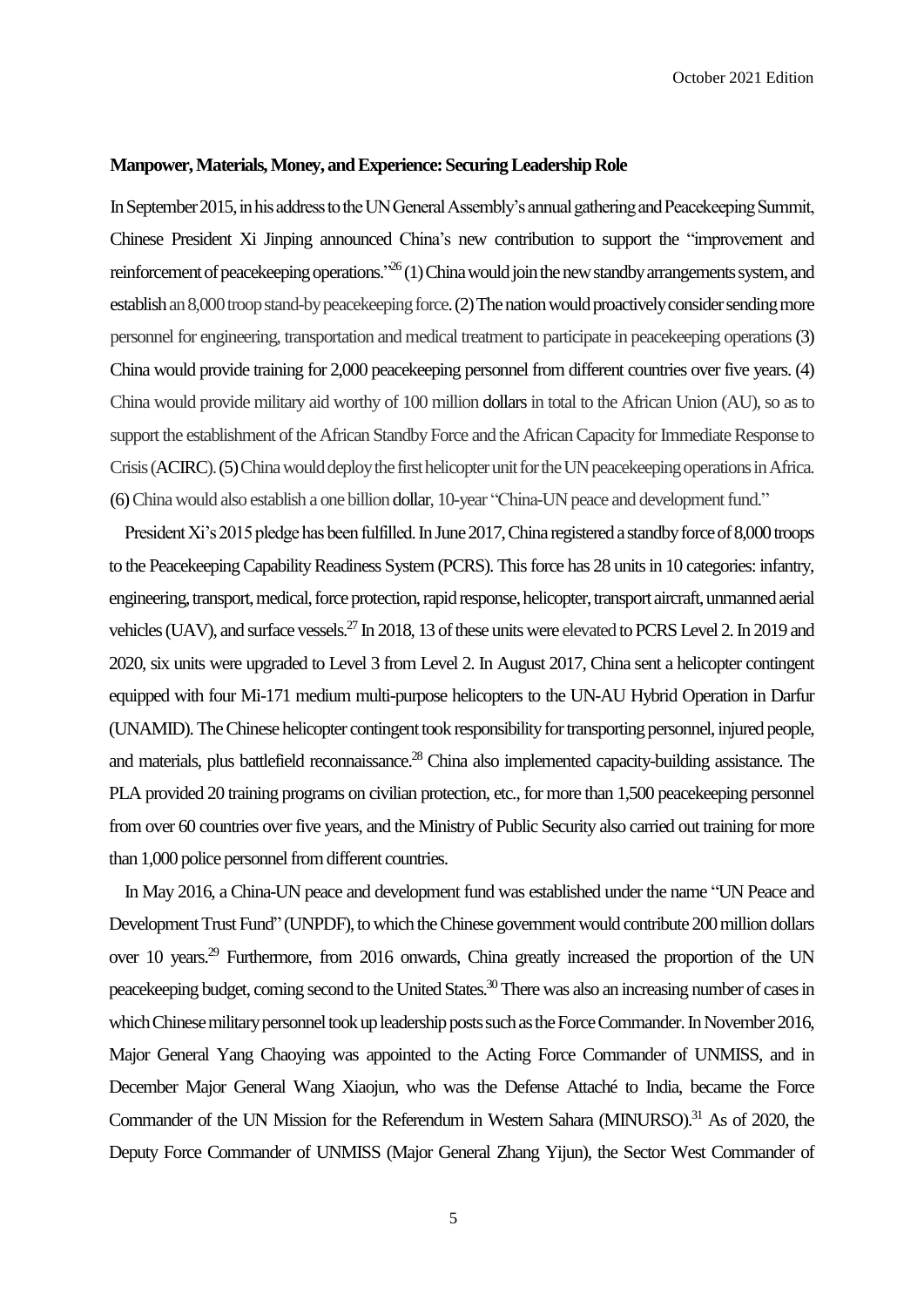#### **Manpower, Materials, Money, and Experience: Securing LeadershipRole**

In September 2015, in his address to the UN General Assembly's annual gathering and Peacekeeping Summit, Chinese President Xi Jinping announced China's new contribution to support the "improvement and reinforcement of peacekeeping operations."<sup>26</sup> (1) China would join the new standby arrangements system, and establish an 8,000 troop stand-by peacekeeping force. (2) The nation would proactively consider sending more personnel for engineering, transportation and medical treatment to participate in peacekeeping operations(3) China would provide training for 2,000 peacekeeping personnel from different countries over five years. (4) China would provide military aid worthy of 100 million dollarsin total to the African Union (AU), so as to support the establishment of the African Standby Force and the African Capacity for Immediate Response to Crisis(ACIRC).(5) China would deploy the first helicopter unit for the UN peacekeeping operations in Africa. (6) China would also establish a one billion dollar, 10-year "China-UN peace and development fund."

President Xi's 2015 pledge has been fulfilled. In June 2017, China registered a standby force of 8,000 troops to the Peacekeeping Capability Readiness System (PCRS). This force has 28 units in 10 categories: infantry, engineering, transport, medical, force protection, rapid response, helicopter, transport aircraft, unmanned aerial vehicles (UAV), and surface vessels.<sup>27</sup> In 2018, 13 of these units were elevated to PCRS Level 2. In 2019 and 2020, six units were upgraded to Level 3 from Level 2. In August 2017, China sent a helicopter contingent equipped with four Mi-171 medium multi-purpose helicopters to the UN-AU Hybrid Operation in Darfur (UNAMID).The Chinese helicopter contingent took responsibility for transporting personnel, injured people, and materials, plus battlefield reconnaissance.<sup>28</sup> China also implemented capacity-building assistance. The PLA provided 20 training programs on civilian protection, etc., for more than 1,500 peacekeeping personnel from over 60 countries over five years, and the Ministry of Public Security also carried out training for more than 1,000 police personnel from different countries.

In May 2016, a China-UN peace and development fund was established under the name "UN Peace and Development Trust Fund" (UNPDF), to which the Chinese government would contribute 200 million dollars over 10 years.<sup>29</sup> Furthermore, from 2016 onwards, China greatly increased the proportion of the UN peacekeeping budget, coming second to the United States.<sup>30</sup> There was also an increasing number of cases in which Chinese military personnel took up leadership posts such as the Force Commander. In November 2016, Major General Yang Chaoying was appointed to the Acting Force Commander of UNMISS, and in December Major General Wang Xiaojun, who was the Defense Attaché to India, became the Force Commander of the UN Mission for the Referendum in Western Sahara (MINURSO).<sup>31</sup> As of 2020, the Deputy Force Commander of UNMISS (Major General Zhang Yijun), the Sector West Commander of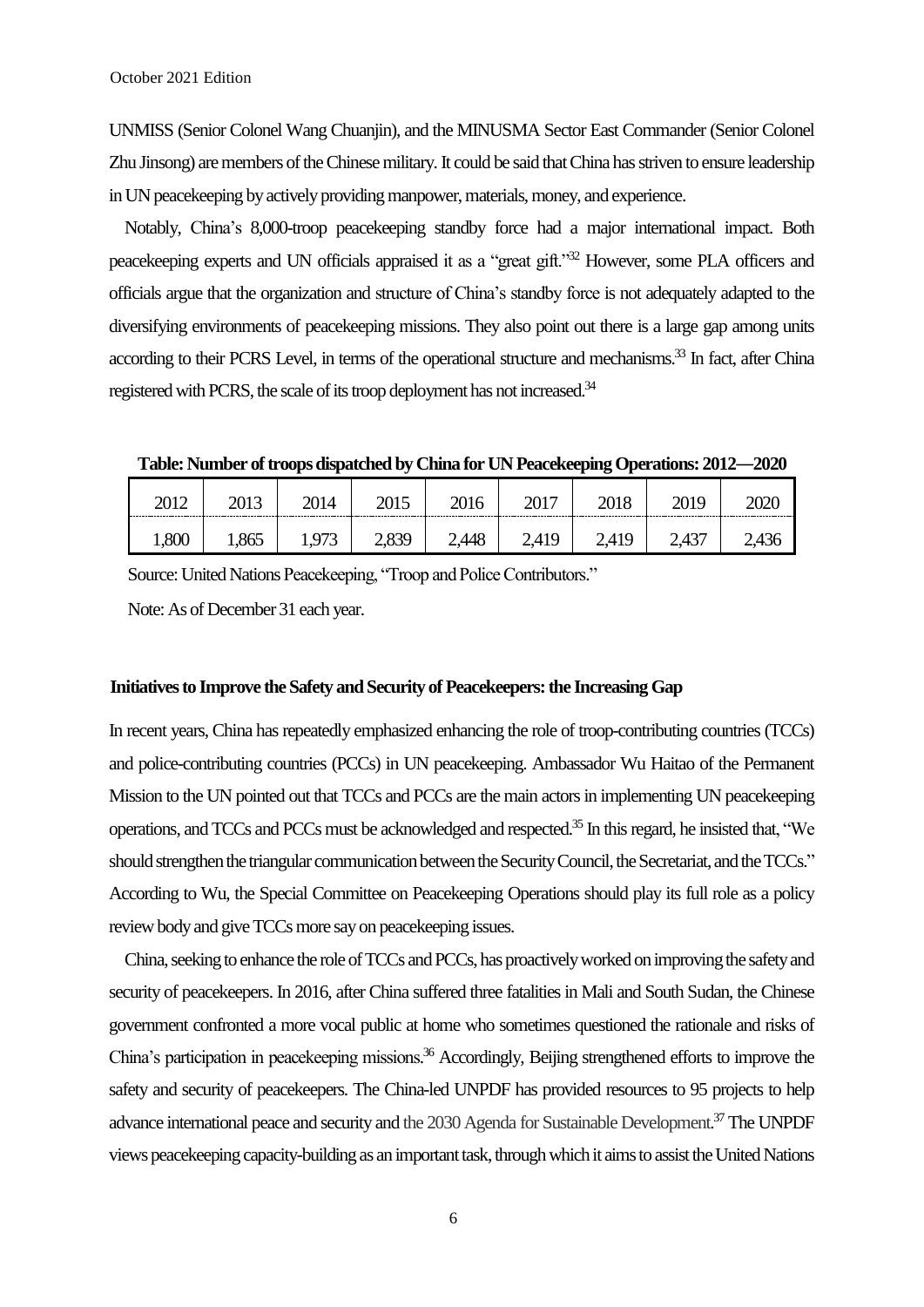UNMISS (Senior Colonel Wang Chuanjin), and the MINUSMA Sector East Commander (Senior Colonel Zhu Jinsong) are members of the Chinese military. It could be said that China has striven to ensure leadership in UN peacekeeping by actively providing manpower, materials, money, and experience.

Notably, China's 8,000-troop peacekeeping standby force had a major international impact. Both peacekeeping experts and UN officials appraised it as a "great gift."<sup>32</sup> However, some PLA officers and officials argue that the organization and structure of China's standby force is not adequately adapted to the diversifying environments of peacekeeping missions. They also point out there is a large gap among units according to their PCRS Level, in terms of the operational structure and mechanisms.<sup>33</sup> In fact, after China registered with PCRS, the scale of its troop deployment has not increased.<sup>34</sup>

Table: Number of troops dispatched by China for UN Peacekeeping Operations:  $2012-2020$ 

| $201^\circ$ | $\omega\omega$ | 2014  |                  | $\omega$ iv             | 2017<br>$\omega$ | 2010  | 71 Q              |  |
|-------------|----------------|-------|------------------|-------------------------|------------------|-------|-------------------|--|
| 1,800       | 1.00           | 1 073 | 7 R 20<br>$\sim$ | $2\angle AAB$<br>$\sim$ |                  | 2,419 | .127<br>$\sim$ TJ |  |

Source: United Nations Peacekeeping, "Troop and Police Contributors."

Note: As of December 31 each year.

## Initiatives to Improve the Safety and Security of Peacekeepers: the Increasing Gap

In recent years, China has repeatedly emphasized enhancing the role of troop-contributing countries (TCCs) and police-contributing countries (PCCs) in UN peacekeeping. Ambassador Wu Haitao of the Permanent Mission to the UN pointed out that TCCs and PCCs are the main actors in implementing UN peacekeeping operations, and TCCs and PCCs must be acknowledged and respected. <sup>35</sup> In this regard, he insisted that, "We should strengthen the triangular communication between the Security Council, the Secretariat, and the TCCs." According to Wu, the Special Committee on Peacekeeping Operations should play its full role as a policy review body and give TCCs more say on peacekeeping issues.

China, seeking to enhance the role of TCCs and PCCs, has proactively worked on improving the safety and security of peacekeepers. In 2016, after China suffered three fatalities in Mali and South Sudan, the Chinese government confronted a more vocal public at home who sometimes questioned the rationale and risks of China's participation in peacekeeping missions.<sup>36</sup> Accordingly, Beijing strengthened efforts to improve the safety and security of peacekeepers. The China-led UNPDF has provided resources to 95 projects to help advance international peace and security and the 2030 Agenda for Sustainable Development.<sup>37</sup> The UNPDF views peacekeeping capacity-building as an important task, through which it aims to assist the United Nations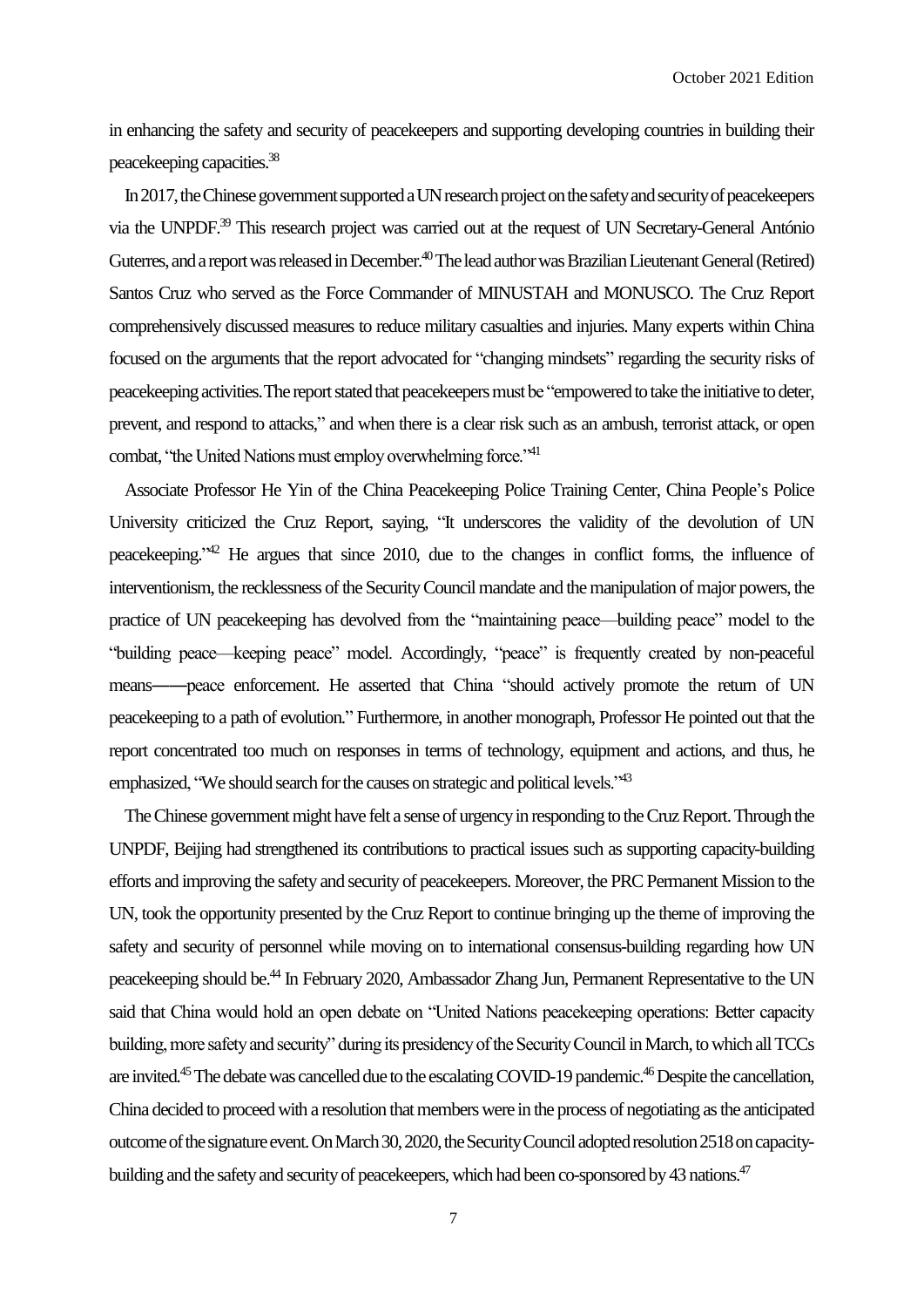in enhancing the safety and security of peacekeepers and supporting developing countries in building their peacekeeping capacities. 38

In 2017, the Chinese government supported a UN research project on the safety and securityof peacekeepers via the UNPDF.<sup>39</sup> This research project was carried out at the request of UN Secretary-General António Guterres, and a report was released in December.<sup>40</sup> The lead author was Brazilian Lieutenant General (Retired) Santos Cruz who served as the Force Commander of MINUSTAH and MONUSCO. The Cruz Report comprehensively discussed measures to reduce military casualties and injuries. Many experts within China focused on the arguments that the report advocated for "changing mindsets" regarding the security risks of peacekeeping activities. The report stated that peacekeepers must be "empowered to take the initiative to deter, prevent, and respond to attacks," and when there is a clear risk such as an ambush, terrorist attack, or open combat, "the United Nations must employ overwhelming force."<sup>41</sup>

Associate Professor He Yin of the China Peacekeeping Police Training Center, China People's Police University criticized the Cruz Report, saying, "It underscores the validity of the devolution of UN peacekeeping."<sup>42</sup> He argues that since 2010, due to the changes in conflict forms, the influence of interventionism, the recklessness of the Security Council mandate and the manipulation of major powers, the practice of UN peacekeeping has devolved from the "maintaining peace—building peace" model to the "building peace—keeping peace" model. Accordingly, "peace" is frequently created by non-peaceful means——peace enforcement. He asserted that China "should actively promote the return of UN peacekeeping to a path of evolution." Furthermore, in another monograph, Professor He pointed out that the report concentrated too much on responses in terms of technology, equipment and actions, and thus, he emphasized, "We should search for the causes on strategic and political levels." <sup>43</sup>

The Chinese government might have felt a sense of urgency in responding to the Cruz Report. Through the UNPDF, Beijing had strengthened its contributions to practical issues such as supporting capacity-building efforts and improving the safety and security of peacekeepers. Moreover, the PRC Permanent Mission to the UN, took the opportunity presented by the Cruz Report to continue bringing up the theme of improving the safety and security of personnel while moving on to international consensus-building regarding how UN peacekeeping should be.<sup>44</sup> In February 2020, Ambassador Zhang Jun, Permanent Representative to the UN said that China would hold an open debate on "United Nations peacekeeping operations: Better capacity building, more safety and security" during its presidency of the Security Council in March, to which all TCCs are invited.<sup>45</sup> The debate was cancelled due to the escalating COVID-19 pandemic.<sup>46</sup> Despite the cancellation, China decided to proceed with a resolution that members were in the process of negotiating as the anticipated outcome of the signature event. On March 30, 2020, the Security Council adopted resolution 2518 on capacitybuilding and the safety and security of peacekeepers, which had been co-sponsored by 43 nations.<sup>47</sup>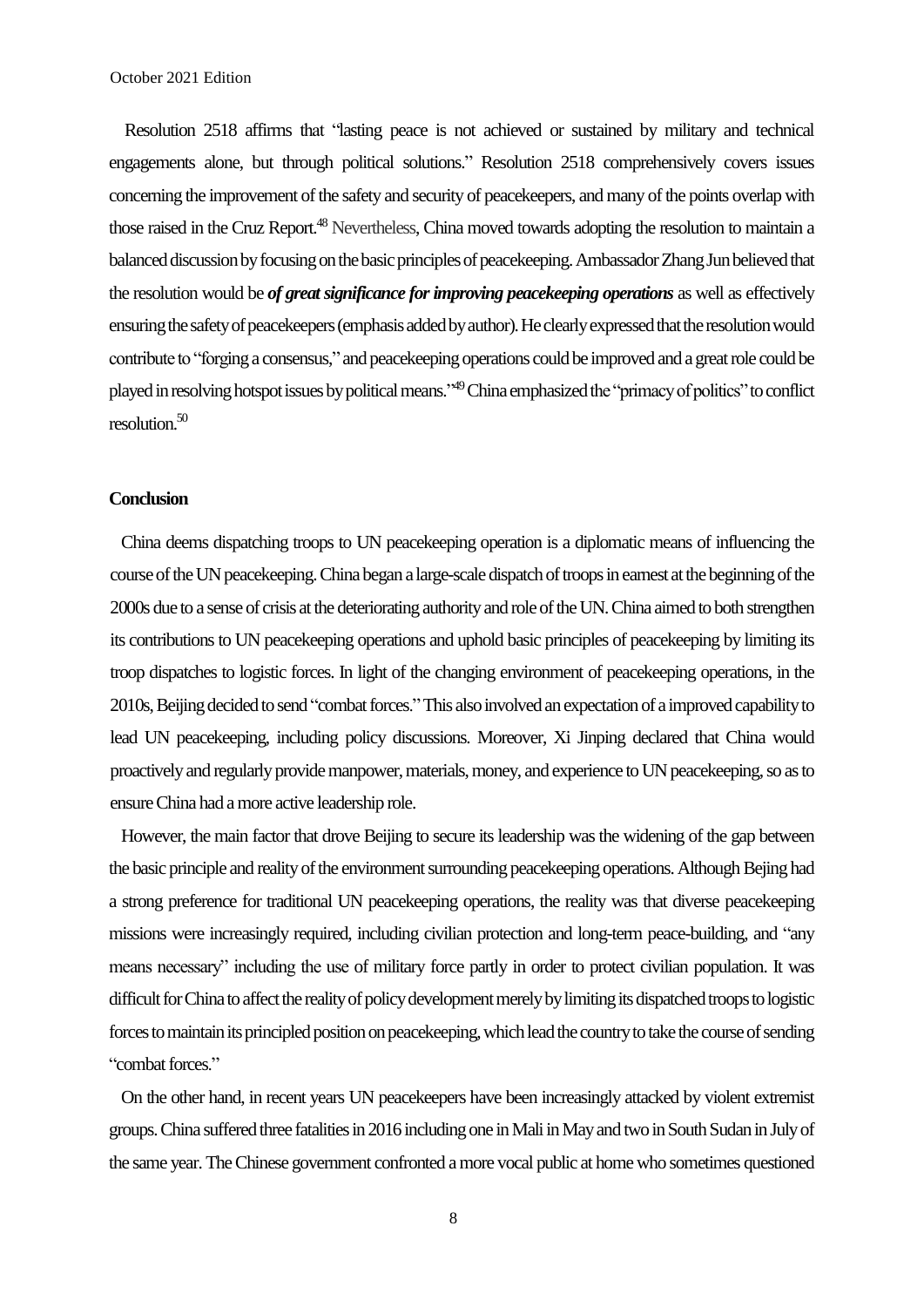Resolution 2518 affirms that "lasting peace is not achieved or sustained by military and technical engagements alone, but through political solutions." Resolution 2518 comprehensively covers issues concerning the improvement of the safety and security of peacekeepers, and many of the points overlap with those raised in the Cruz Report.<sup>48</sup> Nevertheless, China moved towards adopting the resolution to maintain a balanced discussion by focusing onthe basic principles of peacekeeping.Ambassador Zhang Jun believed that the resolution would be *of great significance for improving peacekeeping operations* as well as effectively ensuring the safety of peacekeepers(emphasis added by author). He clearly expressed thatthe resolution would contribute to "forging a consensus," and peacekeeping operations could be improved and a great role could be played in resolving hotspot issues by political means."<sup>49</sup> China emphasized the "primacy of politics" to conflict resolution. 50

### **Conclusion**

China deems dispatching troops to UN peacekeeping operation is a diplomatic means of influencing the course of the UN peacekeeping. China began a large-scale dispatch of troops in earnest at the beginning of the 2000s due to a sense of crisis at the deteriorating authority and role of the UN. China aimed to both strengthen its contributions to UN peacekeeping operations and uphold basic principles of peacekeeping by limiting its troop dispatches to logistic forces. In light of the changing environment of peacekeeping operations, in the 2010s, Beijing decided to send "combat forces." This also involved an expectation of a improved capability to lead UN peacekeeping, including policy discussions. Moreover, Xi Jinping declared that China would proactivelyand regularlyprovide manpower, materials, money, and experience to UN peacekeeping, so as to ensure China had a more active leadership role.

However, the main factor that drove Beijing to secure its leadership was the widening of the gap between the basic principle and reality of the environment surrounding peacekeeping operations.Although Bejing had a strong preference for traditional UN peacekeeping operations, the reality was that diverse peacekeeping missions were increasingly required, including civilian protection and long-term peace-building, and "any means necessary" including the use of military force partly in order to protect civilian population. It was difficult for China to affect the reality of policy development merely by limiting its dispatched troops to logistic forces to maintain its principled position on peacekeeping, which lead the country to take the course of sending "combat forces."

On the other hand, in recent years UN peacekeepers have been increasingly attacked by violent extremist groups.China suffered three fatalities in 2016 including one in Mali in May and two in South Sudan in July of the same year. The Chinese government confronted a more vocal public at homewho sometimes questioned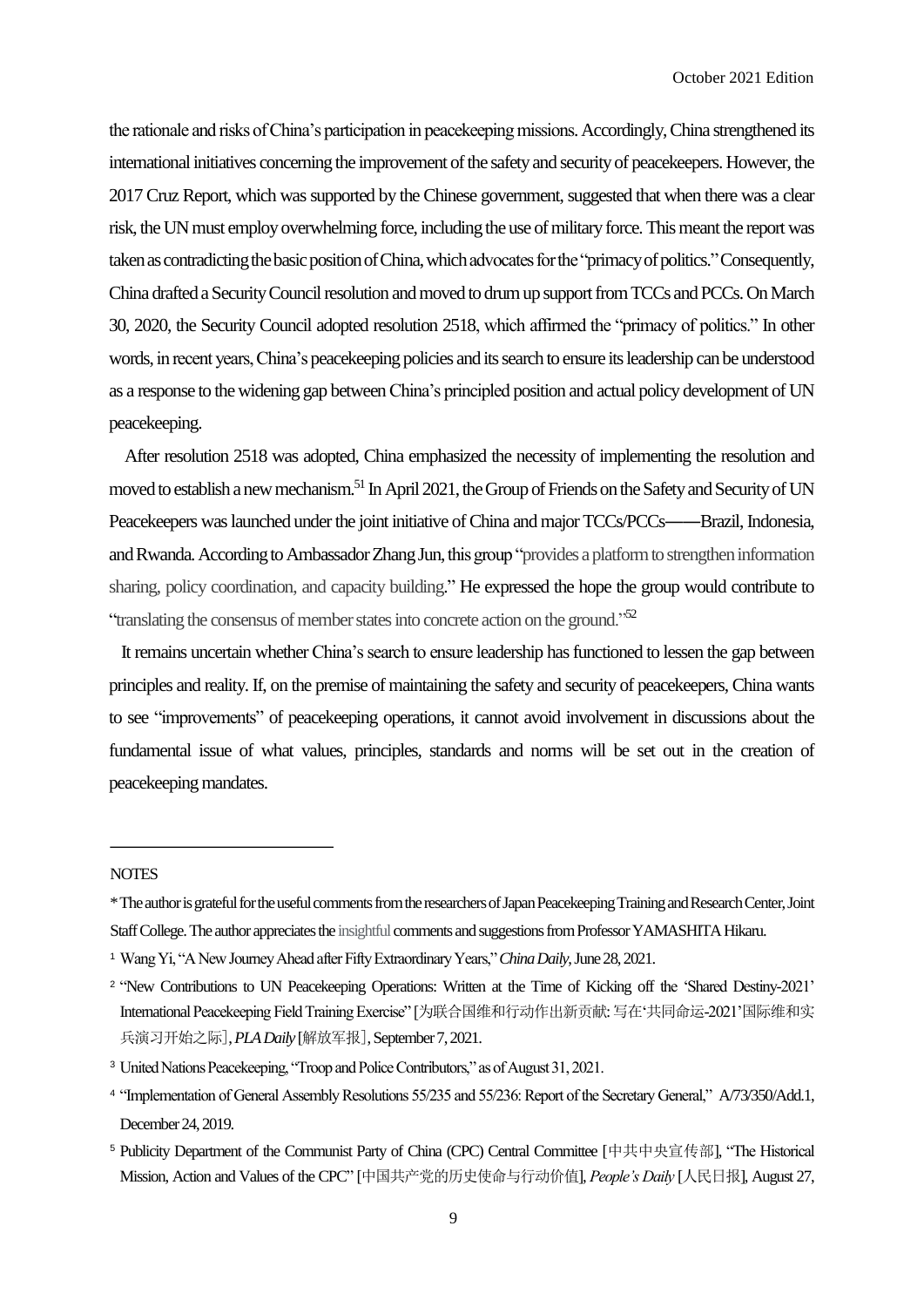the rationale and risks of China's participation in peacekeeping missions.Accordingly, China strengthened its international initiatives concerning the improvement of the safety and security of peacekeepers. However, the 2017 Cruz Report, which was supported by the Chinese government, suggested that when there was a clear risk, the UN must employ overwhelming force, including the use of military force. This meant the report was taken as contradicting the basic positionof China, which advocates for the "primacy of politics."Consequently, China drafted a Security Council resolution and moved to drum up support fromTCCs and PCCs. On March 30, 2020, the Security Council adopted resolution 2518, which affirmed the "primacy of politics." In other words, in recent years, China's peacekeeping policies and its search to ensure its leadership can be understood as a response to the widening gap between China's principled position and actual policy development of UN peacekeeping.

After resolution 2518 was adopted, China emphasized the necessity of implementing the resolution and moved to establish a new mechanism.<sup>51</sup> In April 2021, the Group of Friends on the Safety and Security of UN Peacekeepers was launched under the joint initiative of China and major TCCs/PCCs——Brazil, Indonesia, and Rwanda. According to Ambassador Zhang Jun, this group "provides a platform to strengthen information sharing, policy coordination, and capacity building." He expressed the hope the group would contribute to "translating the consensus of member states into concrete action on the ground."<sup>52</sup>

It remains uncertain whether China's search to ensure leadership has functioned to lessen the gap between principles and reality. If, on the premise of maintaining the safety and security of peacekeepers, China wants to see "improvements" of peacekeeping operations, it cannot avoid involvement in discussions about the fundamental issue of what values, principles, standards and norms will be set out in the creation of peacekeeping mandates.

#### **NOTES**

<sup>\*</sup> The author is grateful for the useful comments from the researchers of Japan Peacekeeping Training and Research Center, Joint Staff College. The author appreciates the insightful comments and suggestions from Professor YAMASHITA Hikaru.

<sup>1</sup> Wang Yi, "A New Journey Ahead after Fifty Extraordinary Years," *China Daily*, June 28, 2021.

<sup>&</sup>lt;sup>2</sup> 'New Contributions to UN Peacekeeping Operations: Written at the Time of Kicking off the 'Shared Destiny-2021' International Peacekeeping Field Training Exercise" [为联合国维和行动作出新贡献:写在'共同命运-2021'国际维和实 兵演习开始之际],*PLA Daily* [解放军报],September 7, 2021.

<sup>3</sup> United Nations Peacekeeping, "Troop and Police Contributors," as of August 31, 2021.

<sup>4</sup> "Implementation of General Assembly Resolutions 55/235 and 55/236: Report of the Secretary General," [A/73/350/Add.1,](https://undocs.org/A/73/350/Add.1) December 24, 2019.

<sup>5</sup> Publicity Department of the Communist Party of China (CPC) Central Committee [中共中央宣传部], "The Historical Mission, Action and Values of the CPC" [中国共产党的历史使命与行动价值], *People's Daily* [人民日报], August 27,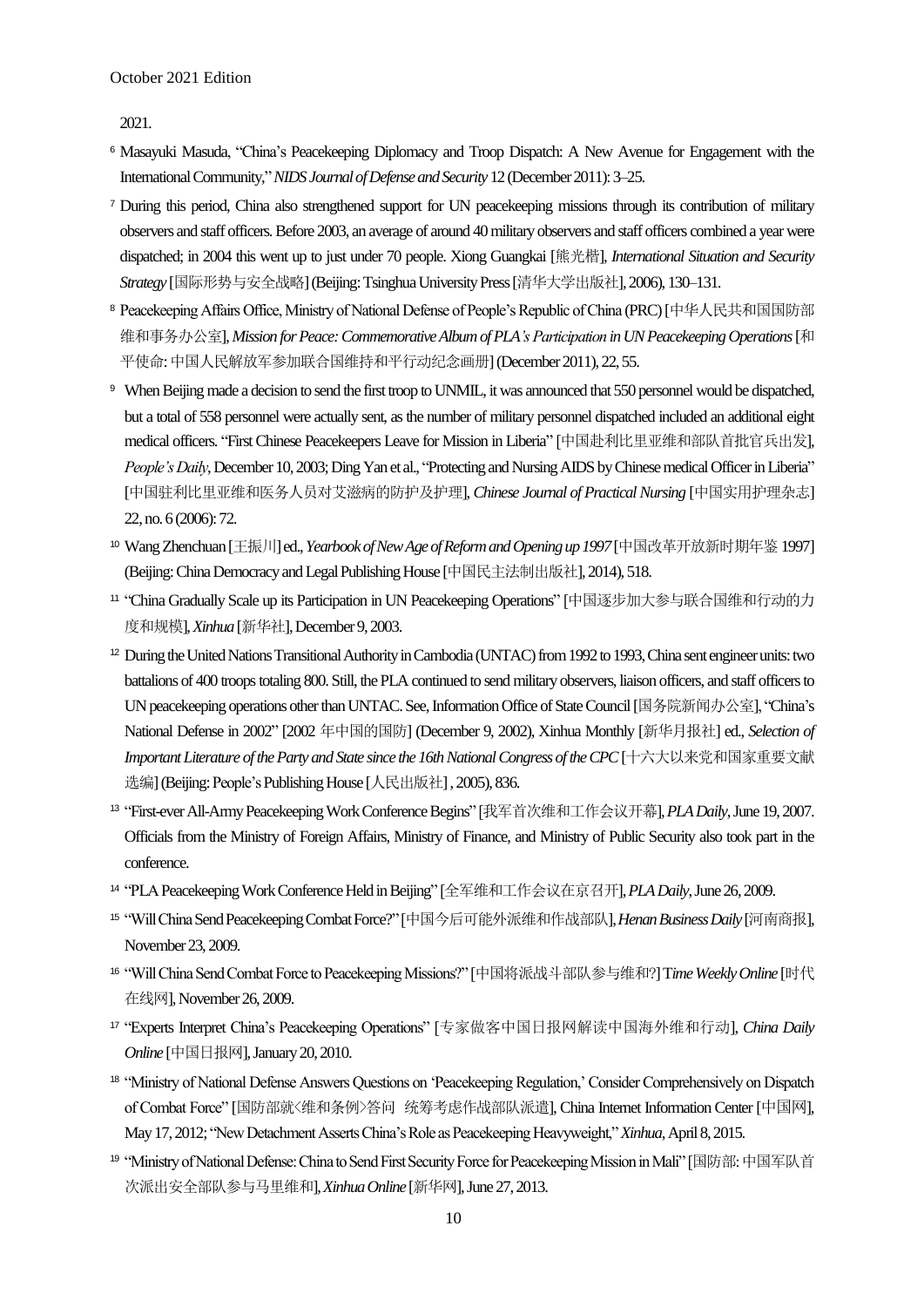2021.

- <sup>6</sup> Masayuki Masuda, "China's Peacekeeping Diplomacy and Troop Dispatch: A New Avenue for Engagement with the International Community," *NIDS Journal of Defense and Security* 12 (December 2011): 3–25.
- <sup>7</sup> During this period, China also strengthened support for UN peacekeeping missions through its contribution of military observers and staff officers.Before 2003, an average of around 40 military observers and staff officers combined a year were dispatched; in 2004 this went up to just under 70 people. Xiong Guangkai [熊光楷], *International Situation and Security Strategy* [国际形势与安全战略](Beijing: Tsinghua University Press[清华大学出版社], 2006), 130–131.
- <sup>8</sup> Peacekeeping Affairs Office, Ministry of National Defense of People's Republic of China (PRC)[中华人民共和国国防部 维和事务办公室], *Mission for Peace: Commemorative Album of PLA's Participation in UN Peacekeeping Operations*[和 平使命: 中国人民解放军参加联合国维持和平行动纪念画册](December 2011), 22, 55.
- <sup>9</sup> When Beijing made a decision to send the first troop to UNMIL, it was announced that 550 personnel would be dispatched, but a total of 558 personnel were actually sent, as the number of military personnel dispatched included an additional eight medical officers. "First Chinese Peacekeepers Leave for Mission in Liberia" [中国赴利比里亚维和部队首批官兵出发], *People's Daily*, December 10, 2003; Ding Yan et al., "Protecting and Nursing AIDS by Chinese medical Officer in Liberia" [中国驻利比里亚维和医务人员对艾滋病的防护及护理], *Chinese Journal of Practical Nursing* [中国实用护理杂志] 22, no. 6 (2006): 72.
- <sup>10</sup> Wang Zhenchuan [王振川] ed., *Yearbookof New Age of Reform and Opening up1997*[中国改革开放新时期年鉴 1997] (Beijing: China Democracy and Legal Publishing House [中国民主法制出版社], 2014), 518.
- <sup>11</sup> "China Gradually Scale up its Participation in UN Peacekeeping Operations" [中国逐步加大参与联合国维和行动的力 度和规模], *Xinhua*[新华社], December 9, 2003.
- <sup>12</sup> During the United Nations Transitional Authority in Cambodia (UNTAC) from 1992 to 1993, China sent engineer units: two battalions of 400 troops totaling 800.Still, the PLA continued to send military observers, liaison officers, and staff officersto UN peacekeeping operationsother than UNTAC.See, Information Office of State Council [国务院新闻办公室], "China's National Defense in 2002" [2002 年中国的国防] (December 9, 2002), Xinhua Monthly [新华月报社] ed., *Selection of Important Literature of the Party and State since the 16th National Congress of theCPC*[十六大以来党和国家重要文献 选编](Beijing: People's Publishing House [人民出版社], 2005), 836.
- <sup>13</sup> "First-ever All-ArmyPeacekeeping Work Conference Begins" [我军首次维和工作会议开幕], *PLA Daily*, June 19, 2007. Officials from the Ministry of Foreign Affairs, Ministry of Finance, and Ministry of Public Security also took part in the conference.
- <sup>14</sup> "PLA Peacekeeping Work Conference Held in Beijing" [全军维和工作会议在京召开], *PLA Daily*,June 26, 2009.
- <sup>15</sup> "Will China Send Peacekeeping Combat Force?" [中国今后可能外派维和作战部队], *Henan Business Daily*[河南商报], November 23, 2009.
- <sup>16</sup> "Will China Send Combat Force to Peacekeeping Missions?" [中国将派战斗部队参与维和?] T*ime Weekly Online* [时代 在线网],November 26, 2009.
- <sup>17</sup> "Experts Interpret China's Peacekeeping Operations" [专家做客中国日报网解读中国海外维和行动], *China Daily Online* [中国日报网], January 20, 2010.
- <sup>18</sup> "Ministry of National Defense Answers Questions on 'Peacekeeping Regulation,' Consider Comprehensively on Dispatch of Combat Force" [国防部就<维和条例>答问 统筹考虑作战部队派遣], China Internet Information Center [中国网], May 17, 2012; "New Detachment Asserts China's Role as Peacekeeping Heavyweight," *Xinhua*, April 8, 2015.
- <sup>19</sup> "Ministry of National Defense: China to Send First Security Force for Peacekeeping Mission in Mali" [国防部: 中国军队首 次派出安全部队参与马里维和], *Xinhua Online* [新华网],June 27, 2013.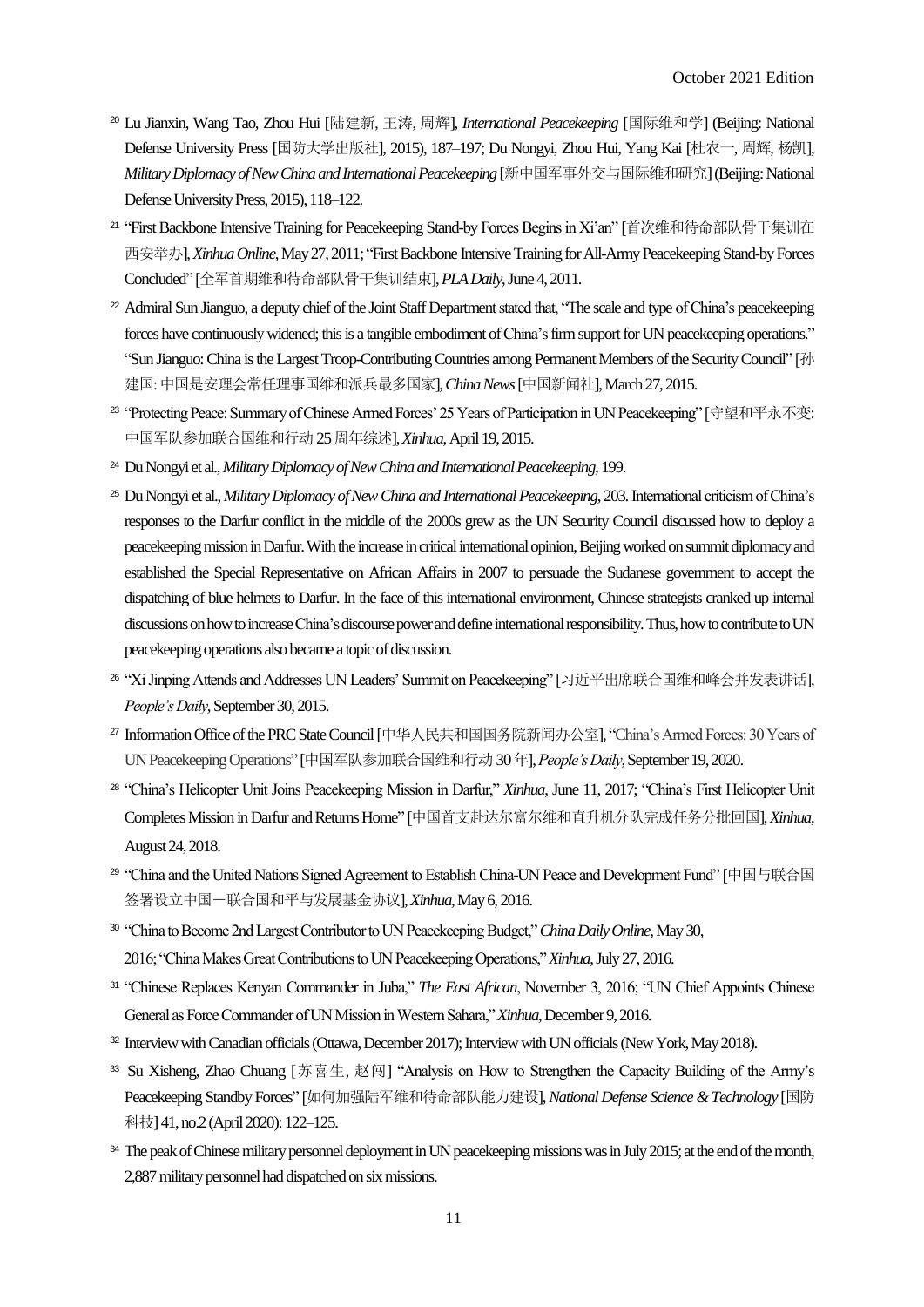- <sup>20</sup> Lu Jianxin, Wang Tao, Zhou Hui [陆建新, 王涛, 周辉], *International Peacekeeping* [国际维和学] (Beijing: National Defense University Press [国防大学出版社], 2015), 187–197; Du Nongyi, Zhou Hui, Yang Kai [杜农一, 周辉, 杨凯], *Military Diplomacy of New China and International Peacekeeping* [新中国军事外交与国际维和研究](Beijing: National Defense University Press, 2015), 118–122.
- <sup>21</sup> "First Backbone Intensive Training for Peacekeeping Stand-by Forces Begins in Xi'an" [首次维和待命部队骨干集训在 西安举办], *Xinhua Online*, May 27, 2011;"FirstBackbone Intensive Training for All-Army Peacekeeping Stand-by Forces Concluded" [全军首期维和待命部队骨干集训结束], *PLA Daily*, June 4, 2011.
- <sup>22</sup> Admiral Sun Jianguo, a deputy chief of the Joint Staff Department stated that, "The scale and type of China's peacekeeping forces have continuously widened; this is a tangible embodiment of China's firm support for UN peacekeeping operations." "Sun Jianguo: China is the Largest Troop-Contributing Countries among Permanent Members of the Security Council" [孙 建国: 中国是安理会常任理事国维和派兵最多国家], *China News* [中国新闻社], March 27, 2015.
- <sup>23</sup> "Protecting Peace: Summary of Chinese Armed Forces' 25 Years of Participation in UN Peacekeeping" [守望和平永不变: 中国军队参加联合国维和行动 25周年综述], *Xinhua*, April 19, 2015.
- <sup>24</sup> Du Nongyi et al., *Military Diplomacyof New China and International Peacekeeping*, 199.
- <sup>25</sup> Du Nongyi et al., *Military Diplomacy of New China and International Peacekeeping*, 203. International criticism of China's responses to the Darfur conflict in the middle of the 2000s grew as the UN Security Council discussed how to deploy a peacekeeping mission in Darfur. With the increase in critical international opinion, Beijing worked on summit diplomacy and established the Special Representative on African Affairs in 2007 to persuade the Sudanese government to accept the dispatching of blue helmets to Darfur. In the face of this international environment, Chinese strategists cranked up internal discussions on how to increase China's discourse power and define international responsibility.Thus, how to contribute to UN peacekeeping operations also became a topic of discussion.
- <sup>26</sup> "Xi Jinping Attends and Addresses UN Leaders' Summit on Peacekeeping" [习近平出席联合国维和峰会并发表讲话], *People's Daily*, September 30, 2015.
- <sup>27</sup> Information Office of the PRC State Council [中华人民共和国国务院新闻办公室], "China's Armed Forces: 30 Years of UN Peacekeeping Operations" [中国军队参加联合国维和行动 30年], *People's Daily*, September 19, 2020.
- <sup>28</sup> "China's Helicopter Unit Joins Peacekeeping Mission in Darfur," *Xinhua*, June 11, 2017; "China's First Helicopter Unit Completes Mission in Darfur and Returns Home" [中国首支赴达尔富尔维和直升机分队完成任务分批回国], *Xinhua*, August 24, 2018.
- <sup>29</sup> "China and the United Nations Signed Agreement to Establish China-UN Peace and Development Fund" [中国与联合国 签署设立中国-联合国和平与发展基金协议], *Xinhua*, May 6, 2016.
- <sup>30</sup> "China to Become 2nd Largest Contributor to UN Peacekeeping Budget," *China Daily Online*, May 30, 2016; "China Makes Great Contributions to UN Peacekeeping Operations," *Xinhua*, July 27, 2016.
- <sup>31</sup> "Chinese Replaces Kenyan Commander in Juba," *The East African*, November 3, 2016; "UN Chief Appoints Chinese General as Force Commander of UN Mission in Western Sahara," *Xinhua*, December 9, 2016.
- <sup>32</sup> Interview with Canadian officials (Ottawa, December 2017); Interview with UN officials (New York, May 2018).
- <sup>33</sup> Su Xisheng, Zhao Chuang [苏喜生, 赵闯] "Analysis on How to Strengthen the Capacity Building of the Army's Peacekeeping Standby Forces" [如何加强陆军维和待命部队能力建设], *National Defense Science & Technology* [国防 科技] 41, no.2 (April 2020): 122–125.
- <sup>34</sup> The peak of Chinese military personnel deployment in UN peacekeeping missions was in July 2015; at the end of the month, 2,887 military personnelhad dispatched on six missions.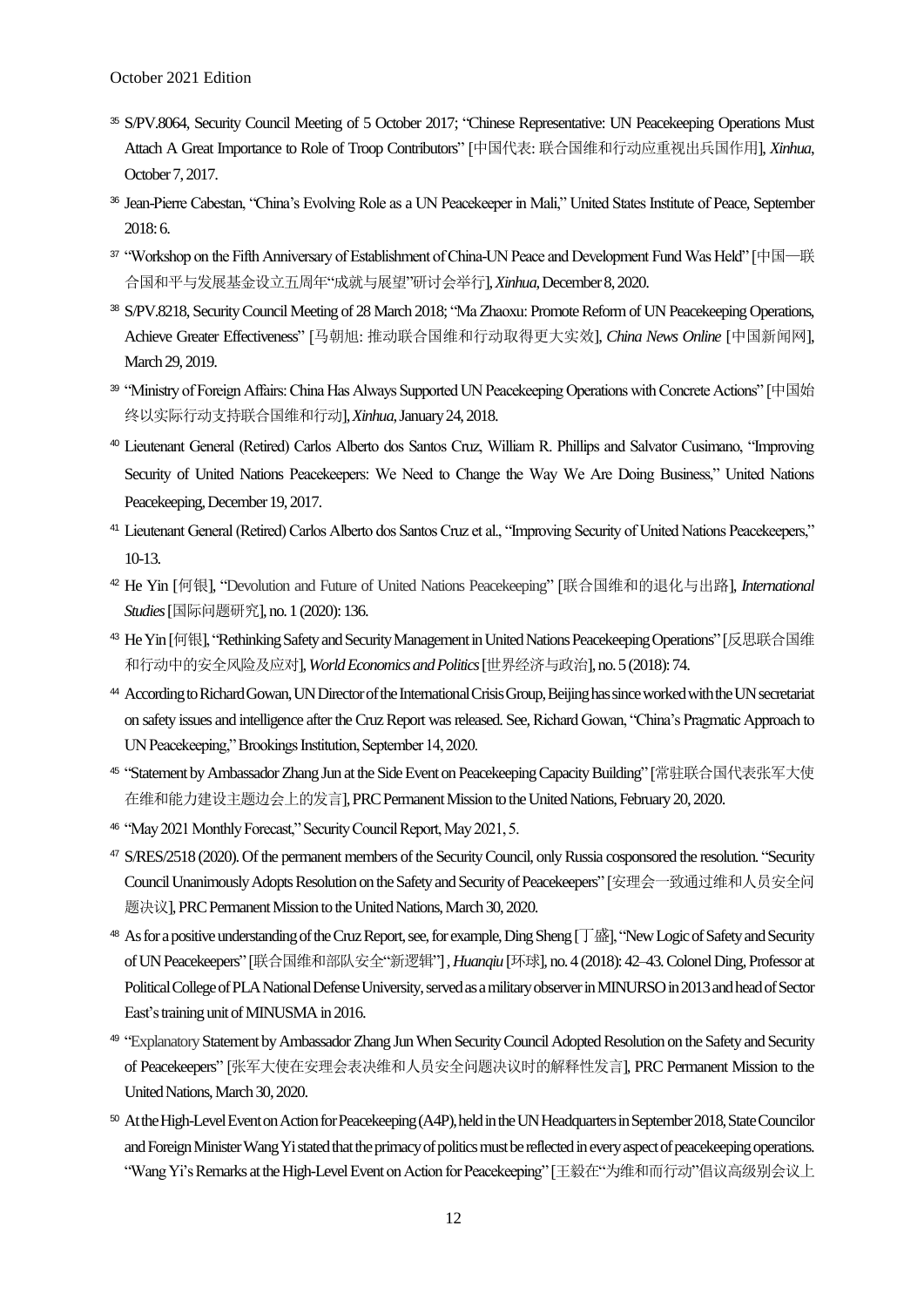- <sup>35</sup> S/PV.8064, Security Council Meeting of 5 October 2017; "Chinese Representative: UN Peacekeeping Operations Must Attach A Great Importance to Role of Troop Contributors" [中国代表: 联合国维和行动应重视出兵国作用], *Xinhua*, October 7, 2017.
- <sup>36</sup> Jean-Pierre Cabestan, "China's Evolving Role as a UN Peacekeeper in Mali," United States Institute of Peace, September 2018: 6.
- <sup>37</sup> "Workshop on the Fifth Anniversary of Establishment of China-UN Peace and Development Fund Was Held" [中国—联 合国和平与发展基金设立五周年"成就与展望"研讨会举行], *Xinhua*, December 8, 2020.
- <sup>38</sup> S/PV.8218, Security Council Meeting of 28 March 2018; "Ma Zhaoxu: Promote Reform of UN Peacekeeping Operations, Achieve Greater Effectiveness" [马朝旭: 推动联合国维和行动取得更大实效], *China News Online* [中国新闻网], March 29, 2019.
- <sup>39</sup> "Ministry of Foreign Affairs: China Has Always Supported UN Peacekeeping Operations with Concrete Actions" [中国始 终以实际行动支持联合国维和行动], *Xinhua*,January 24, 2018.
- <sup>40</sup> Lieutenant General (Retired) Carlos Alberto dos Santos Cruz, William R. Phillips and Salvator Cusimano, "Improving Security of United Nations Peacekeepers: We Need to Change the Way We Are Doing Business," United Nations Peacekeeping, December 19, 2017.
- <sup>41</sup> Lieutenant General (Retired) Carlos Alberto dos Santos Cruz et al., "Improving Security of United Nations Peacekeepers," 10-13.
- <sup>42</sup> He Yin [何银], "Devolution and Future of United Nations Peacekeeping" [联合国维和的退化与出路], *International Studies*[国际问题研究], no. 1 (2020): 136.
- <sup>43</sup> He Yin [何银], "Rethinking Safety and Security Management in United Nations Peacekeeping Operations" [反思联合国维 和行动中的安全风险及应对], *WorldEconomics andPolitics*[世界经济与政治], no. 5 (2018): 74.
- <sup>44</sup> According to Richard Gowan, UNDirectorof the International Crisis Group, Beijing has since worked with the UN secretariat on safety issues and intelligence after the Cruz Report was released. See, Richard Gowan, "China's Pragmatic Approach to UN Peacekeeping," Brookings Institution, September 14, 2020.
- <sup>45</sup> "Statement by Ambassador Zhang Jun at the Side Event on Peacekeeping Capacity Building" [常驻联合国代表张军大使 在维和能力建设主题边会上的发言], PRC Permanent Mission to the United Nations, February 20, 2020.
- <sup>46</sup> "May 2021 Monthly Forecast," Security Council Report, May 2021, 5.
- <sup>47</sup> S/RES/2518 (2020). Of the permanent members of the Security Council, only Russia cosponsored the resolution. "Security Council Unanimously Adopts Resolution on the Safety and Security of Peacekeepers" [安理会一致通过维和人员安全问 题决议], PRC Permanent Mission to the United Nations, March 30, 2020.
- <sup>48</sup> As for a positive understanding of the Cruz Report, see, for example,Ding Sheng [丁盛], "New Logic of Safety and Security of UN Peacekeepers" [联合国维和部队安全"新逻辑"], *Huanqiu* [环球], no. 4 (2018): 42–43.Colonel Ding, Professor at Political College of PLA National Defense University, served as a military observer in MINURSO in 2013 and head of Sector East's training unit of MINUSMA in 2016.
- <sup>49</sup> "Explanatory Statement byAmbassador Zhang JunWhen Security Council AdoptedResolution on the Safety and Security of Peacekeepers" [张军大使在安理会表决维和人员安全问题决议时的解释性发言], PRC Permanent Mission to the United Nations, March 30, 2020.
- <sup>50</sup> At the High-Level Event on Action for Peacekeeping(A4P),held in the UN Headquartersin September 2018, State Councilor and Foreign Minister Wang Yi stated that the primacy of politics must be reflected in every aspect of peacekeeping operations. "Wang Yi's Remarks at the High-Level Eventon Action for Peacekeeping" [王毅在"为维和而行动"倡议高级别会议上